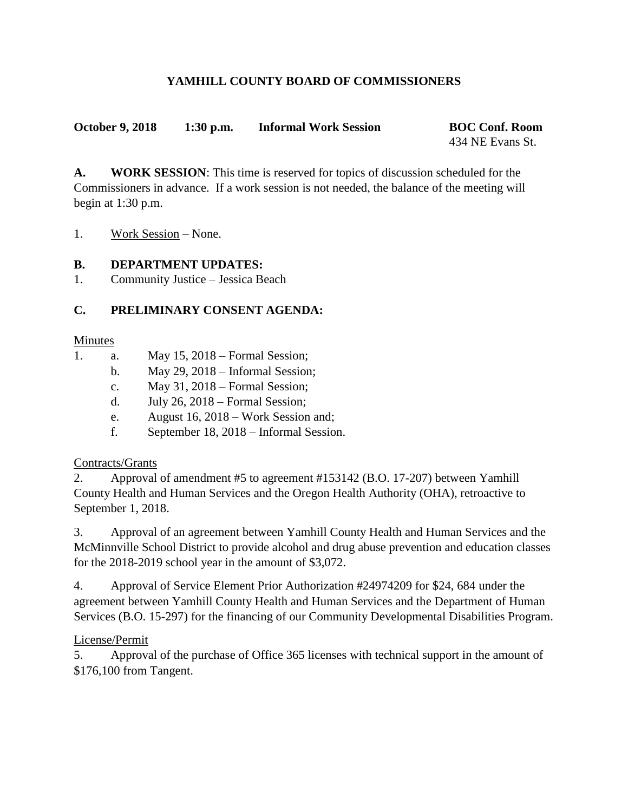# **YAMHILL COUNTY BOARD OF COMMISSIONERS**

**October 9, 2018 1:30 p.m. Informal Work Session BOC Conf. Room**

434 NE Evans St.

**A. WORK SESSION**: This time is reserved for topics of discussion scheduled for the Commissioners in advance. If a work session is not needed, the balance of the meeting will begin at 1:30 p.m.

1. Work Session – None.

### **B. DEPARTMENT UPDATES:**

1. Community Justice – Jessica Beach

# **C. PRELIMINARY CONSENT AGENDA:**

#### Minutes

- 1. a. May 15, 2018 Formal Session;
	- b. May 29, 2018 Informal Session;
	- c. May 31, 2018 Formal Session;
	- d. July 26, 2018 Formal Session;
	- e. August 16, 2018 Work Session and;
	- f. September 18, 2018 Informal Session.

# Contracts/Grants

2. Approval of amendment #5 to agreement #153142 (B.O. 17-207) between Yamhill County Health and Human Services and the Oregon Health Authority (OHA), retroactive to September 1, 2018.

3. Approval of an agreement between Yamhill County Health and Human Services and the McMinnville School District to provide alcohol and drug abuse prevention and education classes for the 2018-2019 school year in the amount of \$3,072.

4. Approval of Service Element Prior Authorization #24974209 for \$24, 684 under the agreement between Yamhill County Health and Human Services and the Department of Human Services (B.O. 15-297) for the financing of our Community Developmental Disabilities Program.

#### License/Permit

5. Approval of the purchase of Office 365 licenses with technical support in the amount of \$176,100 from Tangent.